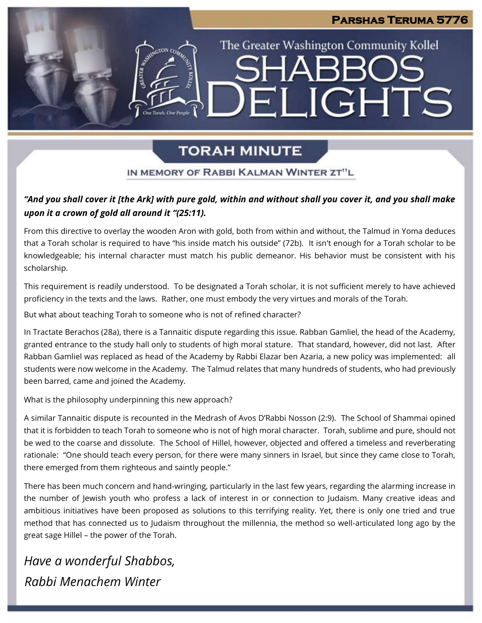# **TORAH MINUTE**

**Parshas Teruma 5776** 

The Greater Washington Community Kollel

ELIGHTS

SH∆R

### IN MEMORY OF RABBI KALMAN WINTER ZT"L

### *"And you shall cover it [the Ark] with pure gold, within and without shall you cover it, and you shall make upon it a crown of gold all around it "(25:11).*

From this directive to overlay the wooden Aron with gold, both from within and without, the Talmud in Yoma deduces that a Torah scholar is required to have "his inside match his outside" (72b). It isn't enough for a Torah scholar to be knowledgeable; his internal character must match his public demeanor. His behavior must be consistent with his scholarship.

This requirement is readily understood. To be designated a Torah scholar, it is not sufficient merely to have achieved proficiency in the texts and the laws. Rather, one must embody the very virtues and morals of the Torah.

But what about teaching Torah to someone who is not of refined character?

In Tractate Berachos (28a), there is a Tannaitic dispute regarding this issue. Rabban Gamliel, the head of the Academy, granted entrance to the study hall only to students of high moral stature. That standard, however, did not last. After Rabban Gamliel was replaced as head of the Academy by Rabbi Elazar ben Azaria, a new policy was implemented: all students were now welcome in the Academy. The Talmud relates that many hundreds of students, who had previously been barred, came and joined the Academy.

What is the philosophy underpinning this new approach?

A similar Tannaitic dispute is recounted in the Medrash of Avos D'Rabbi Nosson (2:9). The School of Shammai opined that it is forbidden to teach Torah to someone who is not of high moral character. Torah, sublime and pure, should not be wed to the coarse and dissolute. The School of Hillel, however, objected and offered a timeless and reverberating rationale: "One should teach every person, for there were many sinners in Israel, but since they came close to Torah, there emerged from them righteous and saintly people."

There has been much concern and hand-wringing, particularly in the last few years, regarding the alarming increase in the number of Jewish youth who profess a lack of interest in or connection to Judaism. Many creative ideas and ambitious initiatives have been proposed as solutions to this terrifying reality. Yet, there is only one tried and true method that has connected us to Judaism throughout the millennia, the method so well-articulated long ago by the great sage Hillel – the power of the Torah.

*Have a wonderful Shabbos, Rabbi Menachem Winter*